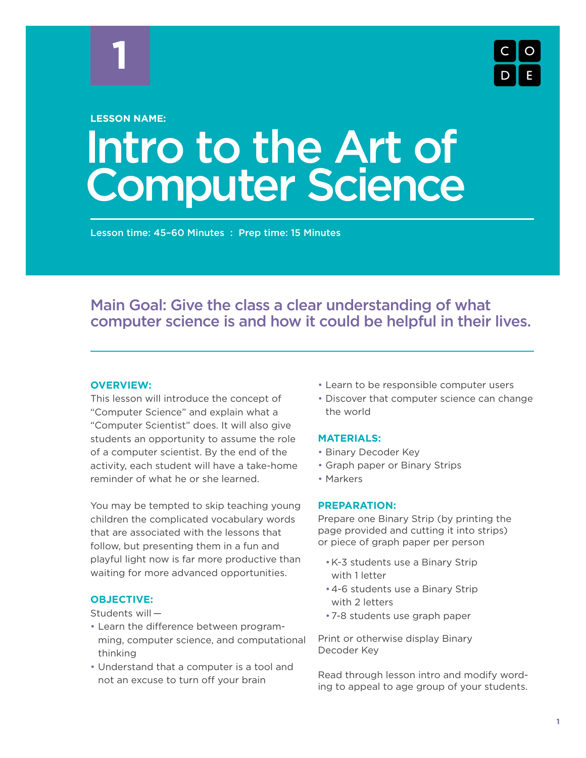

#### **LESSON NAME:**

# Intro to the Art of Computer Science

Lesson time: 45–60 Minutes : Prep time: 15 Minutes

# Main Goal: Give the class a clear understanding of what computer science is and how it could be helpful in their lives.

#### **OVERVIEW:**

This lesson will introduce the concept of "Computer Science" and explain what a "Computer Scientist" does. It will also give students an opportunity to assume the role of a computer scientist. By the end of the activity, each student will have a take-home reminder of what he or she learned.

You may be tempted to skip teaching young children the complicated vocabulary words that are associated with the lessons that follow, but presenting them in a fun and playful light now is far more productive than waiting for more advanced opportunities.

#### **OBJECTIVE:**

Students will —

- Learn the difference between programming, computer science, and computational thinking
- Understand that a computer is a tool and not an excuse to turn off your brain
- Learn to be responsible computer users
- Discover that computer science can change the world

#### **MATERIALS:**

- Binary Decoder Key
- Graph paper or Binary Strips
- Markers

#### **PREPARATION:**

Prepare one Binary Strip (by printing the page provided and cutting it into strips) or piece of graph paper per person

- K-3 students use a Binary Strip with 1 letter
- 4-6 students use a Binary Strip with 2 letters
- 7-8 students use graph paper

Print or otherwise display Binary Decoder Key

Read through lesson intro and modify wording to appeal to age group of your students.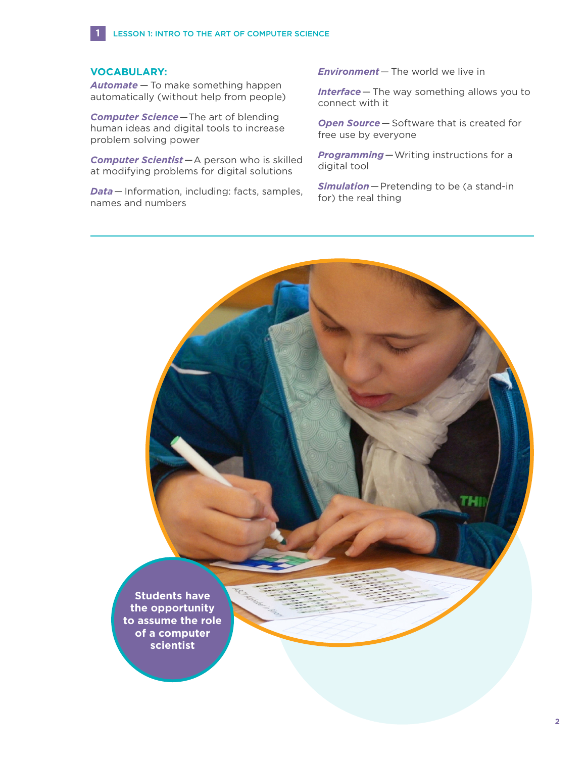#### **VOCABULARY:**

**1**

*Automate* — To make something happen automatically (without help from people)

*Computer Science*—The art of blending human ideas and digital tools to increase problem solving power

*Computer Scientist*—A person who is skilled at modifying problems for digital solutions

*Data*— Information, including: facts, samples, names and numbers

*Environment*— The world we live in

*Interface*— The way something allows you to connect with it

*Open Source*— Software that is created for free use by everyone

*Programming*—Writing instructions for a digital tool

*Simulation*—Pretending to be (a stand-in for) the real thing

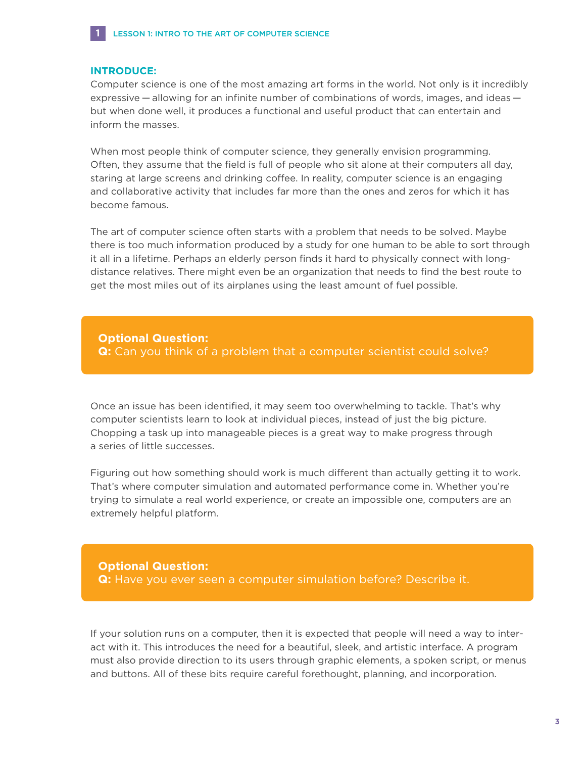

#### **INTRODUCE:**

Computer science is one of the most amazing art forms in the world. Not only is it incredibly expressive — allowing for an infinite number of combinations of words, images, and ideas but when done well, it produces a functional and useful product that can entertain and inform the masses.

When most people think of computer science, they generally envision programming. Often, they assume that the field is full of people who sit alone at their computers all day, staring at large screens and drinking coffee. In reality, computer science is an engaging and collaborative activity that includes far more than the ones and zeros for which it has become famous.

The art of computer science often starts with a problem that needs to be solved. Maybe there is too much information produced by a study for one human to be able to sort through it all in a lifetime. Perhaps an elderly person finds it hard to physically connect with longdistance relatives. There might even be an organization that needs to find the best route to get the most miles out of its airplanes using the least amount of fuel possible.

**Optional Question: Q:** Can you think of a problem that a computer scientist could solve?

Once an issue has been identified, it may seem too overwhelming to tackle. That's why computer scientists learn to look at individual pieces, instead of just the big picture. Chopping a task up into manageable pieces is a great way to make progress through a series of little successes.

Figuring out how something should work is much different than actually getting it to work. That's where computer simulation and automated performance come in. Whether you're trying to simulate a real world experience, or create an impossible one, computers are an extremely helpful platform.

**Optional Question: Q:** Have you ever seen a computer simulation before? Describe it.

If your solution runs on a computer, then it is expected that people will need a way to interact with it. This introduces the need for a beautiful, sleek, and artistic interface. A program must also provide direction to its users through graphic elements, a spoken script, or menus and buttons. All of these bits require careful forethought, planning, and incorporation.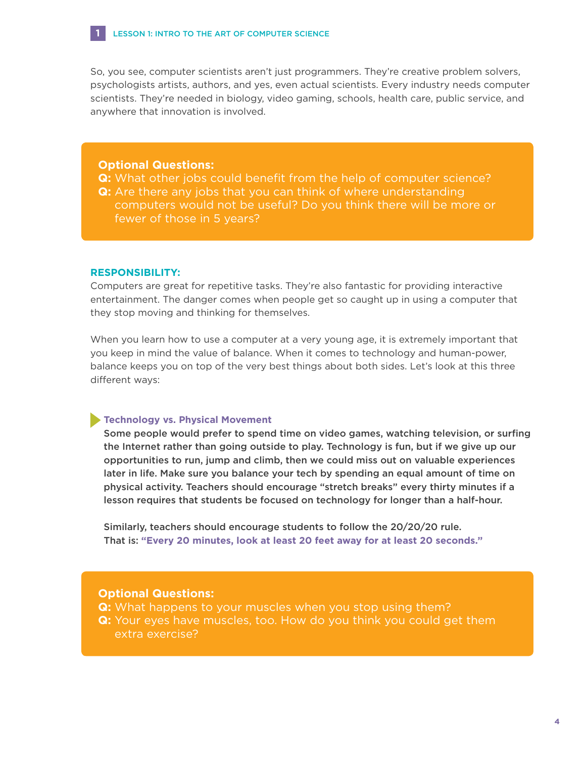So, you see, computer scientists aren't just programmers. They're creative problem solvers, psychologists artists, authors, and yes, even actual scientists. Every industry needs computer scientists. They're needed in biology, video gaming, schools, health care, public service, and anywhere that innovation is involved.

#### **Optional Questions:**

**1**

- **Q:** What other jobs could benefit from the help of computer science?
- **Q:** Are there any jobs that you can think of where understanding computers would not be useful? Do you think there will be more or fewer of those in 5 years?

#### **RESPONSIBILITY:**

Computers are great for repetitive tasks. They're also fantastic for providing interactive entertainment. The danger comes when people get so caught up in using a computer that they stop moving and thinking for themselves.

When you learn how to use a computer at a very young age, it is extremely important that you keep in mind the value of balance. When it comes to technology and human-power, balance keeps you on top of the very best things about both sides. Let's look at this three different ways:

#### **Technology vs. Physical Movement**

 Some people would prefer to spend time on video games, watching television, or surfing the Internet rather than going outside to play. Technology is fun, but if we give up our opportunities to run, jump and climb, then we could miss out on valuable experiences later in life. Make sure you balance your tech by spending an equal amount of time on physical activity. Teachers should encourage "stretch breaks" every thirty minutes if a lesson requires that students be focused on technology for longer than a half-hour.

 Similarly, teachers should encourage students to follow the 20/20/20 rule. That is: **"Every 20 minutes, look at least 20 feet away for at least 20 seconds."**

#### **Optional Questions:**

- **Q:** What happens to your muscles when you stop using them?
- **Q:** Your eyes have muscles, too. How do you think you could get them extra exercise?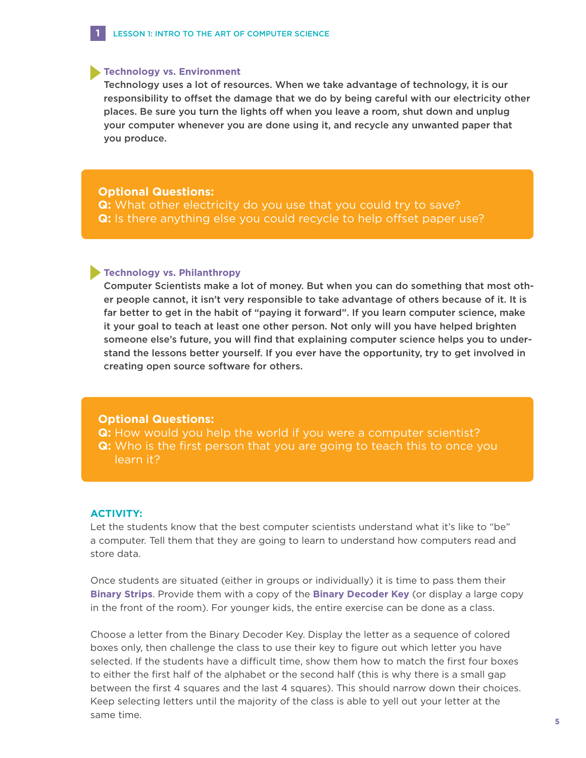#### **Technology vs. Environment**

**1**

 Technology uses a lot of resources. When we take advantage of technology, it is our responsibility to offset the damage that we do by being careful with our electricity other places. Be sure you turn the lights off when you leave a room, shut down and unplug your computer whenever you are done using it, and recycle any unwanted paper that you produce.

#### **Optional Questions:**

**Q:** What other electricity do you use that you could try to save? **Q:** Is there anything else you could recycle to help offset paper use?

#### **Technology vs. Philanthropy**

 Computer Scientists make a lot of money. But when you can do something that most other people cannot, it isn't very responsible to take advantage of others because of it. It is far better to get in the habit of "paying it forward". If you learn computer science, make it your goal to teach at least one other person. Not only will you have helped brighten someone else's future, you will find that explaining computer science helps you to understand the lessons better yourself. If you ever have the opportunity, try to get involved in creating open source software for others.

#### **Optional Questions:**

**Q:** How would you help the world if you were a computer scientist? **Q:** Who is the first person that you are going to teach this to once you learn it?

#### **ACTIVITY:**

Let the students know that the best computer scientists understand what it's like to "be" a computer. Tell them that they are going to learn to understand how computers read and store data.

Once students are situated (either in groups or individually) it is time to pass them their **Binary Strips**. Provide them with a copy of the **Binary Decoder Key** (or display a large copy in the front of the room). For younger kids, the entire exercise can be done as a class.

Choose a letter from the Binary Decoder Key. Display the letter as a sequence of colored boxes only, then challenge the class to use their key to figure out which letter you have selected. If the students have a difficult time, show them how to match the first four boxes to either the first half of the alphabet or the second half (this is why there is a small gap between the first 4 squares and the last 4 squares). This should narrow down their choices. Keep selecting letters until the majority of the class is able to yell out your letter at the same time.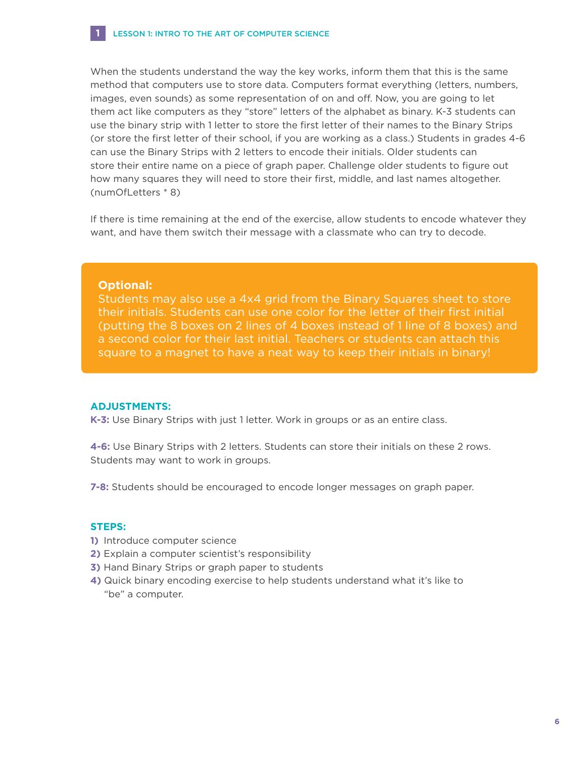When the students understand the way the key works, inform them that this is the same method that computers use to store data. Computers format everything (letters, numbers, images, even sounds) as some representation of on and off. Now, you are going to let them act like computers as they "store" letters of the alphabet as binary. K-3 students can use the binary strip with 1 letter to store the first letter of their names to the Binary Strips (or store the first letter of their school, if you are working as a class.) Students in grades 4-6 can use the Binary Strips with 2 letters to encode their initials. Older students can store their entire name on a piece of graph paper. Challenge older students to figure out how many squares they will need to store their first, middle, and last names altogether. (numOfLetters \* 8)

If there is time remaining at the end of the exercise, allow students to encode whatever they want, and have them switch their message with a classmate who can try to decode.

#### **Optional:**

**1**

Students may also use a 4x4 grid from the Binary Squares sheet to store their initials. Students can use one color for the letter of their first initial (putting the 8 boxes on 2 lines of 4 boxes instead of 1 line of 8 boxes) and a second color for their last initial. Teachers or students can attach this square to a magnet to have a neat way to keep their initials in binary!

#### **ADJUSTMENTS:**

**K-3:** Use Binary Strips with just 1 letter. Work in groups or as an entire class.

**4-6:** Use Binary Strips with 2 letters. Students can store their initials on these 2 rows. Students may want to work in groups.

**7-8:** Students should be encouraged to encode longer messages on graph paper.

#### **STEPS:**

- **1)** Introduce computer science
- **2)** Explain a computer scientist's responsibility
- **3)** Hand Binary Strips or graph paper to students
- **4)** Quick binary encoding exercise to help students understand what it's like to "be" a computer.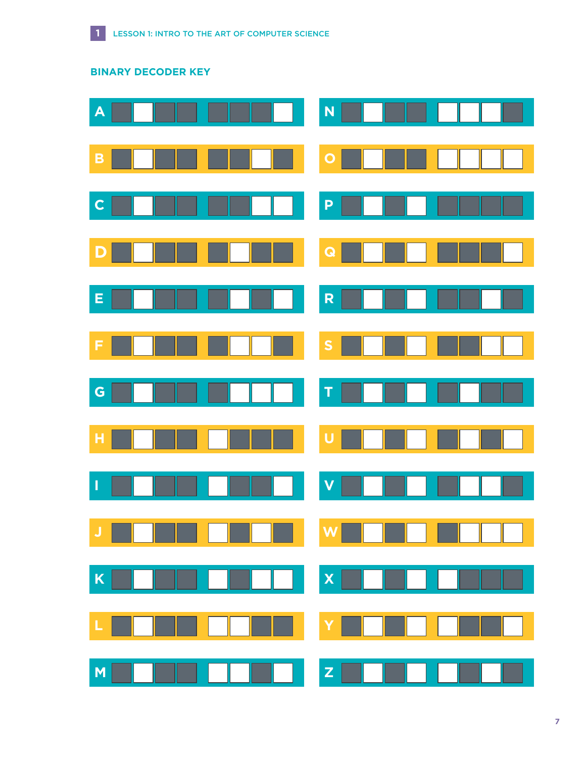

# **BINARY DECODER KEY**

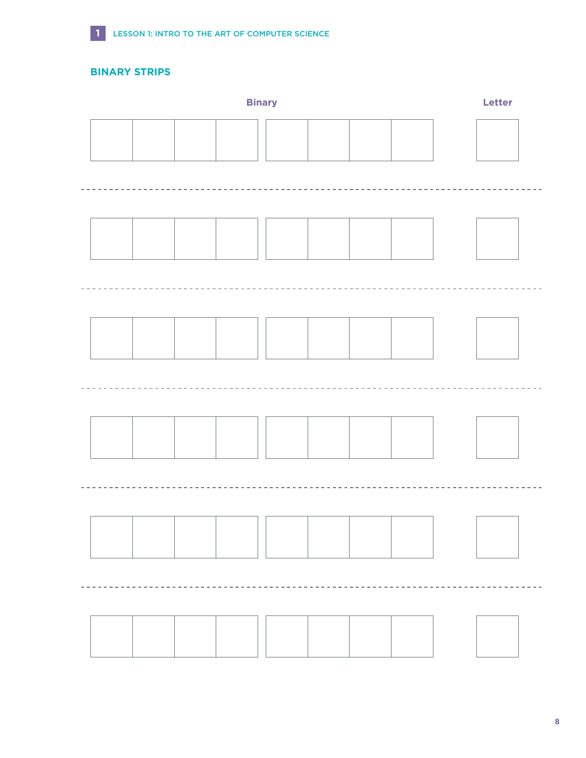

### **BINARY STRIPS**

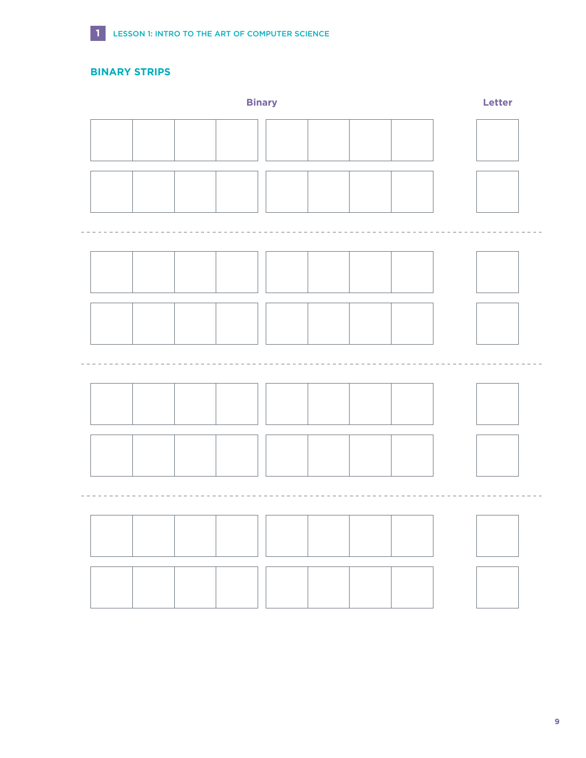

**BINARY STRIPS**